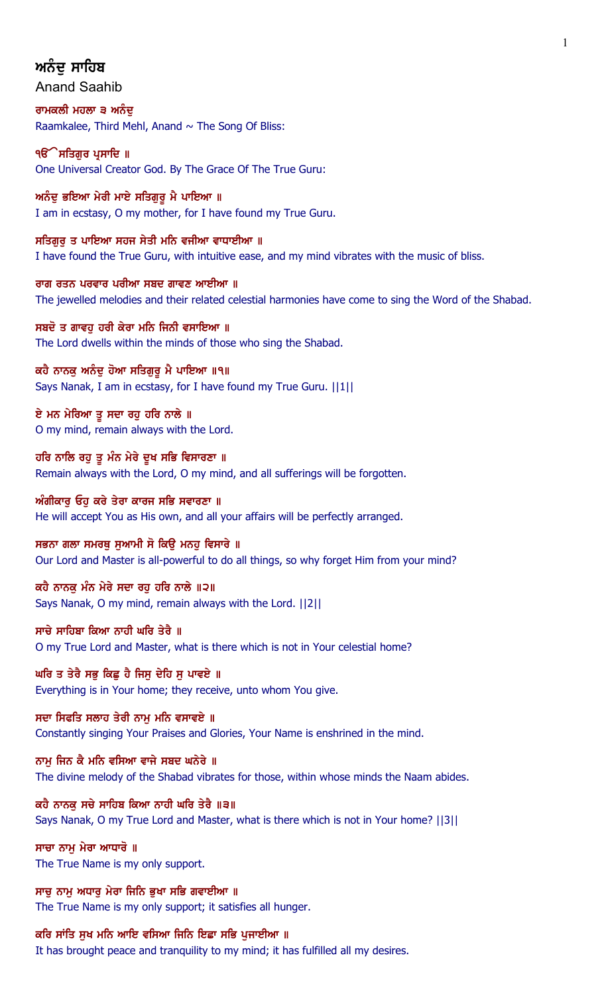# ਅਨੰਦ ਸਾਹਿਬ

Anand Saahib

ਰਾਮਕਲੀ ਮਹਲਾ ੩ ਅਨੰਦ Raamkalee, Third Mehl, Anand  $\sim$  The Song Of Bliss:

੧**ੳ**ੇਸਤਿਗੁਰ ਪ੍ਰਸਾਦਿ ॥ One Universal Creator God. By The Grace Of The True Guru:

ਅਨੰਦੂ ਭਇਆ ਮੇਰੀ ਮਾਏ ਸਤਿਗੁਰੂ ਮੈ ਪਾਇਆ ॥ I am in ecstasy, O my mother, for I have found my True Guru.

ਸਤਿਗਰ ਤ ਪਾਇਆ ਸਹਜ ਸੇਤੀ ਮਨਿ ਵਜੀਆ ਵਾਧਾਈਆ ॥ I have found the True Guru, with intuitive ease, and my mind vibrates with the music of bliss.

ਰਾਗ ਰਤਨ ਪਰਵਾਰ ਪਰੀਆ ਸਬਦ ਗਾਵਣ ਆਈਆ ॥ The jewelled melodies and their related celestial harmonies have come to sing the Word of the Shabad.

ਸਬਦੋ ਤ ਗਾਵਹੁ ਹਰੀ ਕੇਰਾ ਮਨਿ ਜਿਨੀ ਵਸਾਇਆ ॥ The Lord dwells within the minds of those who sing the Shabad.

ਕਹੈ ਨਾਨਕੂ ਅਨੰਦੂ ਹੋਆ ਸਤਿਗੁਰੂ ਮੈ ਪਾਇਆ ॥੧॥ Says Nanak, I am in ecstasy, for I have found my True Guru. ||1||

ਏ ਮਨ ਮੇਰਿਆ ਤ ਸਦਾ ਰਹ ਹਰਿ ਨਾਲੇ ॥ O my mind, remain always with the Lord.

ਹਰਿ ਨਾਲਿ ਰਹੁ ਤੁ ਮੰਨ ਮੇਰੇ ਦੁਖ ਸਭਿ ਵਿਸਾਰਣਾ ॥ Remain always with the Lord, O my mind, and all sufferings will be forgotten.

ਅੰਗੀਕਾਰੂ ਓਹੁ ਕਰੇ ਤੇਰਾ ਕਾਰਜ ਸਭਿ ਸਵਾਰਣਾ ॥ He will accept You as His own, and all your affairs will be perfectly arranged.

ਸਭਨਾ ਗਲਾ ਸਮਰਥੂ ਸੁਆਮੀ ਸੋ ਕਿਉ ਮਨਹੂ ਵਿਸਾਰੇ ॥ Our Lord and Master is all-powerful to do all things, so why forget Him from your mind?

ਕਹੈ ਨਾਨਕ ਮੰਨ ਮੇਰੇ ਸਦਾ ਰਹ ਹਰਿ ਨਾਲੇ ॥੨॥ Says Nanak, O my mind, remain always with the Lord. ||2||

ਸਾਚੇ ਸਾਹਿਬਾ ਕਿਆ ਨਾਹੀ ਘਰਿ ਤੇਰੈ ॥ O my True Lord and Master, what is there which is not in Your celestial home?

ਘਰਿ ਤ ਤੇਰੈ ਸਭੁ ਕਿਛੁ ਹੈ ਜਿਸੁ ਦੇਹਿ ਸੁ ਪਾਵਏ ॥ Everything is in Your home; they receive, unto whom You give.

ਸਦਾ ਸਿਫਤਿ ਸਲਾਹ ਤੇਰੀ ਨਾਮ ਮਨਿ ਵਸਾਵਏ ॥ Constantly singing Your Praises and Glories, Your Name is enshrined in the mind.

ਨਾਮ ਜਿਨ ਕੈ ਮਨਿ ਵਸਿਆ ਵਾਜੇ ਸਬਦ ਘਨੇਰੇ ॥ The divine melody of the Shabad vibrates for those, within whose minds the Naam abides.

ਕਹੈ ਨਾਨਕ ਸਚੇ ਸਾਹਿਬ ਕਿਆ ਨਾਹੀ ਘਰਿ ਤੇਰੈ ॥੩॥ Says Nanak, O my True Lord and Master, what is there which is not in Your home? ||3||

ਸਾਚਾ ਨਾਮ ਮੇਰਾ ਆਧਾਰੋ ॥ The True Name is my only support.

ਸਾਚੂ ਨਾਮੂ ਅਧਾਰੂ ਮੇਰਾ ਜਿਨਿ ਭੁਖਾ ਸਭਿ ਗਵਾਈਆ ॥ The True Name is my only support; it satisfies all hunger.

ਕਰਿ ਸਾਂਤਿ ਸੁਖ ਮਨਿ ਆਇ ਵਸਿਆ ਜਿਨਿ ਇਛਾ ਸਭਿ ਪੁਜਾਈਆ ॥

It has brought peace and tranquility to my mind; it has fulfilled all my desires.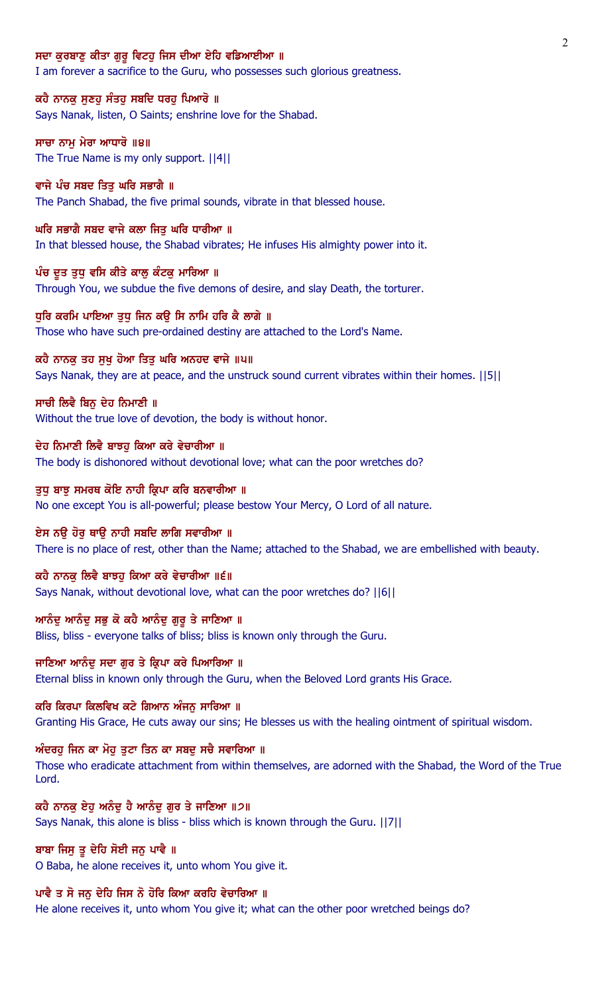#### ਸਦਾ ਕਰਬਾਣ ਕੀਤਾ ਗਰੁ ਵਿਟਹ ਜਿਸ ਦੀਆ ਏਹਿ ਵਡਿਆਈਆ ॥

I am forever a sacrifice to the Guru, who possesses such glorious greatness.

# ਕਹੈ ਨਾਨਕੁ ਸੁਣਹੁ ਸੰਤਹੁ ਸਬਦਿ ਧਰਹੁ ਪਿਆਰੋ ॥

Says Nanak, listen, O Saints; enshrine love for the Shabad.

# ਸਾਚਾ ਨਾਮ ਮੇਰਾ ਆਧਾਰੋ ॥੪॥ The True Name is my only support. ||4||

ਵਾਜੇ ਪੰਚ ਸਬਦ ਤਿਤ ਘਰਿ ਸਭਾਗੈ ॥ The Panch Shabad, the five primal sounds, vibrate in that blessed house.

# ਘਰਿ ਸਭਾਗੈ ਸਬਦ ਵਾਜੇ ਕਲਾ ਜਿਤੁ ਘਰਿ ਧਾਰੀਆ ॥

In that blessed house, the Shabad vibrates; He infuses His almighty power into it.

### ਪੰਚ ਦੂਤ ਤੁਧੂ ਵਸਿ ਕੀਤੇ ਕਾਲੂ ਕੰਟਕੂ ਮਾਰਿਆ ॥

Through You, we subdue the five demons of desire, and slay Death, the torturer.

### ਧੁਰਿ ਕਰਮਿ ਪਾਇਆ ਤੁਧੁ ਜਿਨ ਕਉ ਸਿ ਨਾਮਿ ਹਰਿ ਕੈ ਲਾਗੇ ॥

Those who have such pre-ordained destiny are attached to the Lord's Name.

### ਕਹੈ ਨਾਨਕੂ ਤਹ ਸੂਖੂ ਹੋਆ ਤਿਤੂ ਘਰਿ ਅਨਹਦ ਵਾਜੇ ॥੫॥

Says Nanak, they are at peace, and the unstruck sound current vibrates within their homes. ||5||

### ਸਾਚੀ ਲਿਵੈ ਬਿਨੁ ਦੇਹ ਨਿਮਾਣੀ ॥

Without the true love of devotion, the body is without honor.

#### ਦੇਹ ਨਿਮਾਣੀ ਲਿਵੈ ਬਾਝਹ ਕਿਆ ਕਰੇ ਵੇਚਾਰੀਆ ॥

The body is dishonored without devotional love; what can the poor wretches do?

#### ਤੁਧੂ ਬਾਝੂ ਸਮਰਥ ਕੋਇ ਨਾਹੀ ਕ੍ਰਿਪਾ ਕਰਿ ਬਨਵਾਰੀਆ ॥

No one except You is all-powerful; please bestow Your Mercy, O Lord of all nature.

### ਏਸ ਨਉ ਹੋਰੁ ਥਾਉ ਨਾਹੀ ਸਬਦਿ ਲਾਗਿ ਸਵਾਰੀਆ ॥

There is no place of rest, other than the Name; attached to the Shabad, we are embellished with beauty.

#### ਕਹੈ ਨਾਨਕ ਲਿਵੈ ਬਾਝਹ ਕਿਆ ਕਰੇ ਵੇਚਾਰੀਆ ॥੬॥

Says Nanak, without devotional love, what can the poor wretches do? ||6||

# <u>ਆਨੰਦੂ ਆਨੰਦੂ ਸਭੂ ਕੋ ਕਹੈ ਆਨੰਦੂ ਗੁਰੂ ਤੇ ਜਾਣਿਆ ॥</u>

Bliss, bliss - everyone talks of bliss; bliss is known only through the Guru.

# ਜਾਣਿਆ ਆਨੰਦ ਸਦਾ ਗਰ ਤੇ ਕ੍ਰਿਪਾ ਕਰੇ ਪਿਆਰਿਆ ॥

Eternal bliss in known only through the Guru, when the Beloved Lord grants His Grace.

#### ਕਰਿ ਕਿਰਪਾ ਕਿਲਵਿਖ ਕਟੇ ਗਿਆਨ ਅੰਜਨੂ ਸਾਰਿਆ ॥

Granting His Grace, He cuts away our sins; He blesses us with the healing ointment of spiritual wisdom.

# ਅੰਦਰਹੂ ਜਿਨ ਕਾ ਮੋਹੂ ਤੁਟਾ ਤਿਨ ਕਾ ਸਬਦੂ ਸਚੈ ਸਵਾਰਿਆ ॥

Those who eradicate attachment from within themselves, are adorned with the Shabad, the Word of the True Lord.

### ਕਹੈ ਨਾਨਕੂ ਏਹੂ ਅਨੰਦੂ ਹੈ ਆਨੰਦੂ ਗੁਰ ਤੇ ਜਾਣਿਆ ॥੭॥

Says Nanak, this alone is bliss - bliss which is known through the Guru. ||7||

# ਬਾਬਾ ਜਿਸੂ ਤੂ ਦੇਹਿ ਸੋਈ ਜਨੂ ਪਾਵੈ ॥

O Baba, he alone receives it, unto whom You give it.

### ਪਾਵੈ ਤ ਸੋ ਜਨੁ ਦੇਹਿ ਜਿਸ ਨੋ ਹੋਰਿ ਕਿਆ ਕਰਹਿ ਵੇਚਾਰਿਆ ॥

He alone receives it, unto whom You give it; what can the other poor wretched beings do?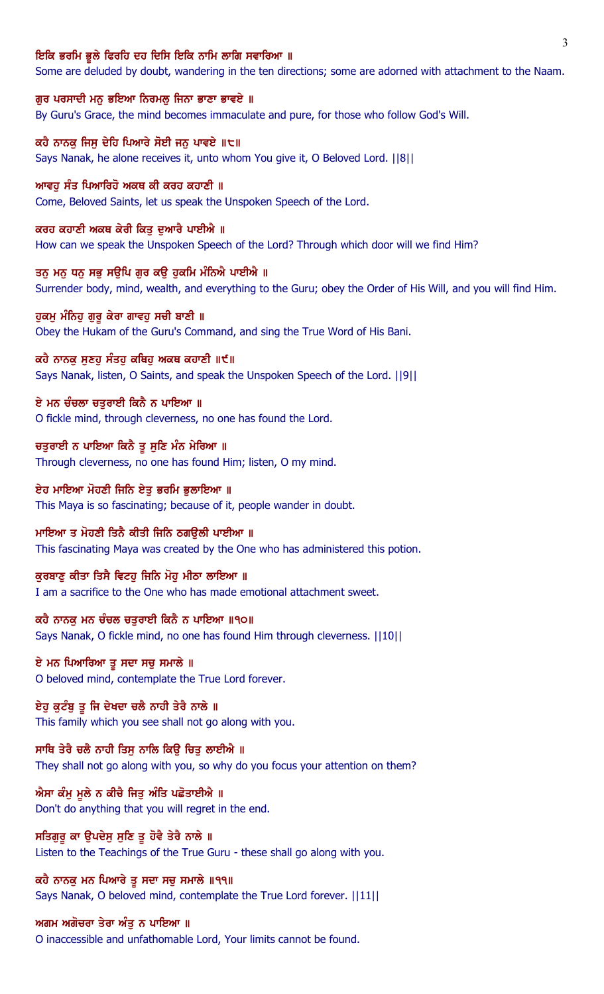#### ਇਕਿ ਭਰਮਿ ਭੁਲੇ ਫਿਰਹਿ ਦਹ ਦਿਸਿ ਇਕਿ ਨਾਮਿ ਲਾਗਿ ਸਵਾਰਿਆ ॥

Some are deluded by doubt, wandering in the ten directions; some are adorned with attachment to the Naam.

ਗੁਰ ਪਰਸਾਦੀ ਮਨੁ ਭਇਆ ਨਿਰਮਲੁ ਜਿਨਾ ਭਾਣਾ ਭਾਵਏ ॥ By Guru's Grace, the mind becomes immaculate and pure, for those who follow God's Will.

ਕਹੈ ਨਾਨਕੂ ਜਿਸੂ ਦੇਹਿ ਪਿਆਰੇ ਸੋਈ ਜਨੂ ਪਾਵਏ ॥੮॥ Says Nanak, he alone receives it, unto whom You give it, O Beloved Lord. ||8||

ਆਵਹ ਸੰਤ ਪਿਆਰਿਹੋ ਅਕਥ ਕੀ ਕਰਹ ਕਹਾਣੀ ॥ Come, Beloved Saints, let us speak the Unspoken Speech of the Lord.

ਕਰਹ ਕਹਾਣੀ ਅਕਥ ਕੇਰੀ ਕਿਤੂ ਦੁਆਰੈ ਪਾਈਐ ॥ How can we speak the Unspoken Speech of the Lord? Through which door will we find Him?

ਤਨੂ ਮਨੁ ਧਨੁ ਸਭੁ ਸਉਪਿ ਗੁਰ ਕਉ ਹੁਕਮਿ ਮੰਨਿਐ ਪਾਈਐ ॥ Surrender body, mind, wealth, and everything to the Guru; obey the Order of His Will, and you will find Him.

ਹੁਕਮੁ ਮੰਨਿਹੁ ਗੁਰੁ ਕੇਰਾ ਗਾਵਹੁ ਸਚੀ ਬਾਣੀ ॥ Obey the Hukam of the Guru's Command, and sing the True Word of His Bani.

ਕਹੈ ਨਾਨਕੂ ਸੁਣਹੂ ਸੰਤਹੂ ਕਥਿਹੂ ਅਕਥ ਕਹਾਣੀ ॥੯॥ Says Nanak, listen, O Saints, and speak the Unspoken Speech of the Lord. ||9||

ਏ ਮਨ ਚੰਚਲਾ ਚਤੁਰਾਈ ਕਿਨੈ ਨ ਪਾਇਆ ॥ O fickle mind, through cleverness, no one has found the Lord.

ਚਤੁਰਾਈ ਨ ਪਾਇਆ ਕਿਨੈ ਤੁ ਸੁਣਿ ਮੰਨ ਮੇਰਿਆ ॥ Through cleverness, no one has found Him; listen, O my mind.

ਏਹ ਮਾਇਆ ਮੋਹਣੀ ਜਿਨਿ ਏਤੁ ਭਰਮਿ ਭੁਲਾਇਆ ॥ This Maya is so fascinating; because of it, people wander in doubt.

ਮਾਇਆ ਤ ਮੋਹਣੀ ਤਿਨੈ ਕੀਤੀ ਜਿਨਿ ਠਗਉਲੀ ਪਾਈਆ ॥ This fascinating Maya was created by the One who has administered this potion.

ਕੁਰਬਾਣੂ ਕੀਤਾ ਤਿਸੈ ਵਿਟਹੂ ਜਿਨਿ ਮੋਹੂ ਮੀਠਾ ਲਾਇਆ ॥ I am a sacrifice to the One who has made emotional attachment sweet.

ਕਹੈ ਨਾਨਕੂ ਮਨ ਚੰਚਲ ਚਤੁਰਾਈ ਕਿਨੈ ਨ ਪਾਇਆ ॥੧੦॥ Says Nanak, O fickle mind, no one has found Him through cleverness. ||10||

ਏ ਮਨ ਪਿਆਰਿਆ ਤੂ ਸਦਾ ਸਚੂ ਸਮਾਲੇ ॥ O beloved mind, contemplate the True Lord forever.

ਏਹੁ ਕੁਟੰਬੁ ਤੂ ਜਿ ਦੇਖਦਾ ਚਲੈ ਨਾਹੀ ਤੇਰੈ ਨਾਲੇ ॥ This family which you see shall not go along with you.

ਸਾਥਿ ਤੇਰੈ ਚਲੈ ਨਾਹੀ ਤਿਸੁ ਨਾਲਿ ਕਿਉ ਚਿਤੁ ਲਾਈਐ ॥ They shall not go along with you, so why do you focus your attention on them?

ਐਸਾ ਕੰਮੂ ਮੂਲੇ ਨ ਕੀਚੈ ਜਿਤੂ ਅੰਤਿ ਪਛੋਤਾਈਐ ॥ Don't do anything that you will regret in the end.

ਸਤਿਗੁਰੁ ਕਾ ਉਪਦੇਸੁ ਸੁਣਿ ਤੁ ਹੋਵੈ ਤੇਰੈ ਨਾਲੇ ॥ Listen to the Teachings of the True Guru - these shall go along with you.

ਕਹੈ ਨਾਨਕ ਮਨ ਪਿਆਰੇ ਤੁ ਸਦਾ ਸਚੁ ਸਮਾਲੇ ॥੧੧॥ Says Nanak, O beloved mind, contemplate the True Lord forever. ||11||

ਅਗਮ ਅਗੋਚਰਾ ਤੇਰਾ ਅੰਤੂ ਨ ਪਾਇਆ ॥ O inaccessible and unfathomable Lord, Your limits cannot be found.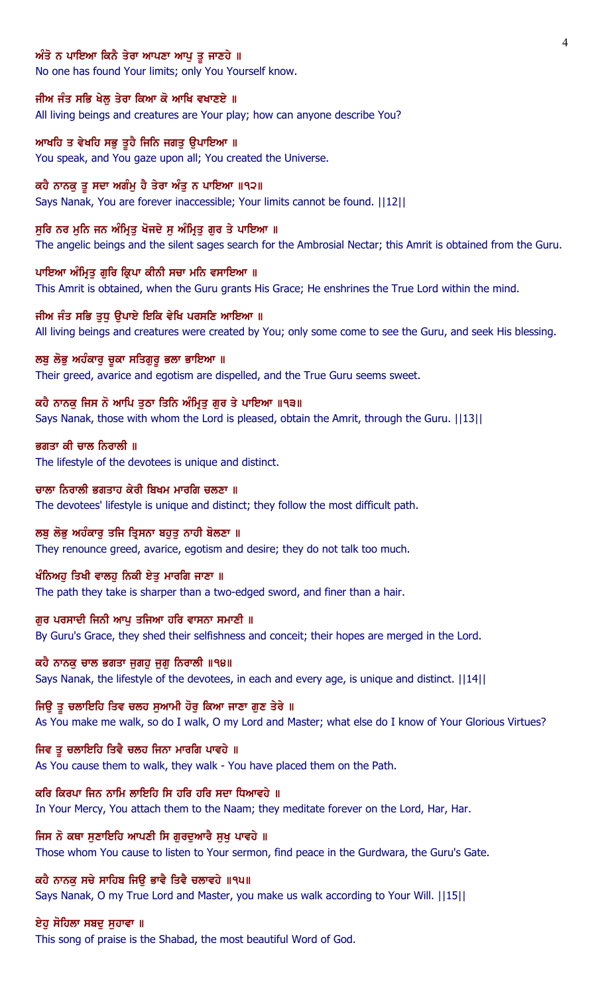# ਅੰਤੋ ਨ ਪਾਇਆ ਕਿਨੈ ਤੇਰਾ ਆਪਣਾ ਆਪੁ ਤੁ ਜਾਣਹੇ ॥

No one has found Your limits; only You Yourself know.

### ਜੀਅ ਜੰਤ ਸਭਿ ਖੇਲ੍ਹ ਤੇਰਾ ਕਿਆ ਕੋ ਆਖਿ ਵਖਾਣਏ ॥

All living beings and creatures are Your play; how can anyone describe You?

# ਆਖਹਿ ਤ ਵੇਖਹਿ ਸਭੁ ਤੁਹੈ ਜਿਨਿ ਜਗਤੁ ਉਪਾਇਆ ॥

You speak, and You gaze upon all; You created the Universe.

#### ਕਹੈ ਨਾਨਕੂ ਤੂ ਸਦਾ ਅਗੰਮੂ ਹੈ ਤੇਰਾ ਅੰਤੂ ਨ ਪਾਇਆ ॥੧੨॥

Says Nanak, You are forever inaccessible; Your limits cannot be found. ||12||

### ਸੁਰਿ ਨਰ ਮੁਨਿ ਜਨ ਅੰਮ੍ਰਿਤੁ ਖੋਜਦੇ ਸੁ ਅੰਮ੍ਰਿਤੁ ਗੁਰ ਤੇ ਪਾਇਆ ॥

The angelic beings and the silent sages search for the Ambrosial Nectar; this Amrit is obtained from the Guru.

### ਪਾਇਆ ਅੰਮ੍ਰਿਤੂ ਗੁਰਿ ਕ੍ਰਿਪਾ ਕੀਨੀ ਸਚਾ ਮਨਿ ਵਸਾਇਆ ॥

This Amrit is obtained, when the Guru grants His Grace; He enshrines the True Lord within the mind.

### ਜੀਅ ਜੰਤ ਸਭਿ ਤੁਧੁ ਉਪਾਏ ਇਕਿ ਵੇਖਿ ਪਰਸਣਿ ਆਇਆ ॥

All living beings and creatures were created by You; only some come to see the Guru, and seek His blessing.

### ਲਬੁ ਲੋਭੁ ਅਹੰਕਾਰੁ ਚੁਕਾ ਸਤਿਗੁਰੂ ਭਲਾ ਭਾਇਆ ॥

Their greed, avarice and egotism are dispelled, and the True Guru seems sweet.

### ਕਹੈ ਨਾਨਕੂ ਜਿਸ ਨੋ ਆਪਿ ਤੁਠਾ ਤਿਨਿ ਅੰਮ੍ਰਿਤੂ ਗੁਰ ਤੇ ਪਾਇਆ ॥੧੩॥

Says Nanak, those with whom the Lord is pleased, obtain the Amrit, through the Guru. ||13||

### ਭਗਤਾ ਕੀ ਚਾਲ ਨਿਰਾਲੀ ॥

The lifestyle of the devotees is unique and distinct.

#### ਚਾਲਾ ਨਿਰਾਲੀ ਭਗਤਾਹ ਕੇਰੀ ਬਿਖਮ ਮਾਰਗਿ ਚਲਣਾ ॥

The devotees' lifestyle is unique and distinct; they follow the most difficult path.

### ਲਬੂ ਲੋਭੂ ਅਹੰਕਾਰੂ ਤਜਿ ਤ੍ਰਿਸਨਾ ਬਹੁਤੂ ਨਾਹੀ ਬੋਲਣਾ ॥

They renounce greed, avarice, egotism and desire; they do not talk too much.

#### ਖੰਨਿਅਹੁ ਤਿਖੀ ਵਾਲਹੁ ਨਿਕੀ ਏਤੁ ਮਾਰਗਿ ਜਾਣਾ ॥

The path they take is sharper than a two-edged sword, and finer than a hair.

### ਗੁਰ ਪਰਸਾਦੀ ਜਿਨੀ ਆਪੂ ਤਜਿਆ ਹਰਿ ਵਾਸਨਾ ਸਮਾਣੀ ॥

By Guru's Grace, they shed their selfishness and conceit; their hopes are merged in the Lord.

# ਕਹੈ ਨਾਨਕ ਚਾਲ ਭਗਤਾ ਜਗਹ ਜਗ ਨਿਰਾਲੀ ॥੧੪॥

Says Nanak, the lifestyle of the devotees, in each and every age, is unique and distinct. ||14||

# ਜਿਉ ਤੂ ਚਲਾਇਹਿ ਤਿਵ ਚਲਹ ਸੁਆਮੀ ਹੋਰੂ ਕਿਆ ਜਾਣਾ ਗੁਣ ਤੇਰੇ ॥

As You make me walk, so do I walk, O my Lord and Master; what else do I know of Your Glorious Virtues?

### ਜਿਵ ਤੂ ਚਲਾਇਹਿ ਤਿਵੈ ਚਲਹ ਜਿਨਾ ਮਾਰਗਿ ਪਾਵਹੇ ॥

As You cause them to walk, they walk - You have placed them on the Path.

### ਕਰਿ ਕਿਰਪਾ ਜਿਨ ਨਾਮਿ ਲਾਇਹਿ ਸਿ ਹਰਿ ਹਰਿ ਸਦਾ ਧਿਆਵਹੇ ॥

In Your Mercy, You attach them to the Naam; they meditate forever on the Lord, Har, Har.

#### ਜਿਸ ਨੋ ਕਥਾ ਸੁਣਾਇਹਿ ਆਪਣੀ ਸਿ ਗੁਰਦੁਆਰੈ ਸੁਖੁ ਪਾਵਹੇ ॥

Those whom You cause to listen to Your sermon, find peace in the Gurdwara, the Guru's Gate.

# ਕਹੈ ਨਾਨਕੂ ਸਚੇ ਸਾਹਿਬ ਜਿਉ ਭਾਵੈ ਤਿਵੈ ਚਲਾਵਹੇ ॥੧੫॥

Says Nanak, O my True Lord and Master, you make us walk according to Your Will. ||15||

# ਏਹੁ ਸੋਹਿਲਾ ਸਬਦੁ ਸੁਹਾਵਾ ॥

This song of praise is the Shabad, the most beautiful Word of God.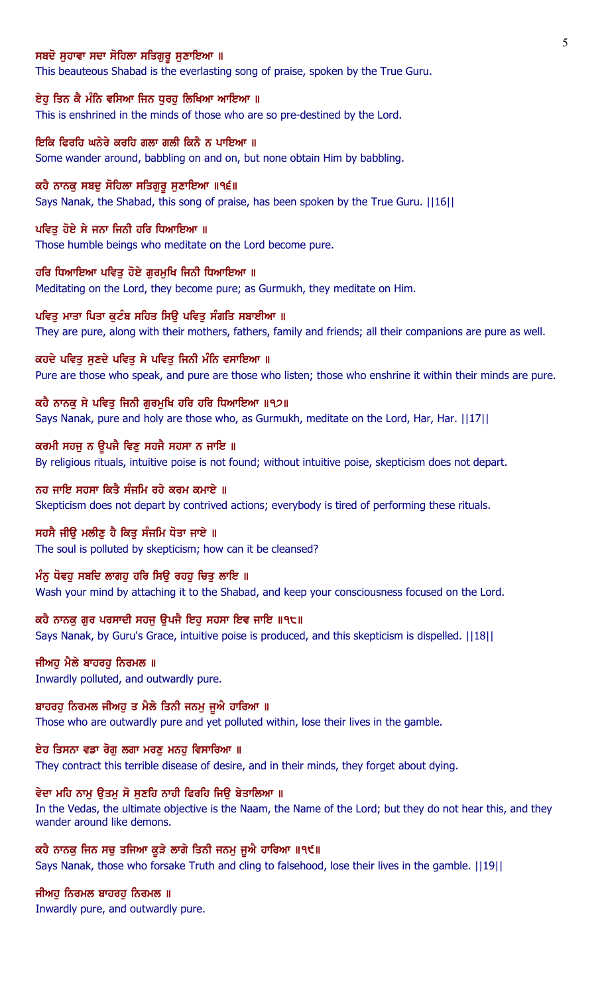### ਸਬਦੋ ਸਹਾਵਾ ਸਦਾ ਸੋਹਿਲਾ ਸਤਿਗਰ ਸਣਾਇਆ ॥

This beauteous Shabad is the everlasting song of praise, spoken by the True Guru.

#### ਏਹੂ ਤਿਨ ਕੈ ਮੰਨਿ ਵਸਿਆ ਜਿਨ ਧੁਰਹੂ ਲਿਖਿਆ ਆਇਆ ॥

This is enshrined in the minds of those who are so pre-destined by the Lord.

ਇਕਿ ਫਿਰਹਿ ਘਨੇਰੇ ਕਰਹਿ ਗਲਾ ਗਲੀ ਕਿਨੈ ਨ ਪਾਇਆ ॥ Some wander around, babbling on and on, but none obtain Him by babbling.

ਕਹੈ ਨਾਨਕ ਸਬਦ ਸੋਹਿਲਾ ਸਤਿਗਰ ਸਣਾਇਆ ॥੧੬॥ Says Nanak, the Shabad, this song of praise, has been spoken by the True Guru. ||16||

ਪਵਿਤ ਹੋਏ ਸੇ ਜਨਾ ਜਿਨੀ ਹਰਿ ਧਿਆਇਆ ॥ Those humble beings who meditate on the Lord become pure.

ਹਰਿ ਧਿਆਇਆ ਪਵਿਤ ਹੋਏ ਗਰਮਖਿ ਜਿਨੀ ਧਿਆਇਆ ॥ Meditating on the Lord, they become pure; as Gurmukh, they meditate on Him.

ਪਵਿਤੂ ਮਾਤਾ ਪਿਤਾ ਕੁਟੰਬ ਸਹਿਤ ਸਿਉ ਪਵਿਤੂ ਸੰਗਤਿ ਸਬਾਈਆ ॥ They are pure, along with their mothers, fathers, family and friends; all their companions are pure as well.

ਕਹਦੇ ਪਵਿਤੂ ਸੁਣਦੇ ਪਵਿਤੂ ਸੇ ਪਵਿਤੂ ਜਿਨੀ ਮੰਨਿ ਵਸਾਇਆ ॥ Pure are those who speak, and pure are those who listen; those who enshrine it within their minds are pure.

ਕਹੈ ਨਾਨਕੁ ਸੇ ਪਵਿਤੁ ਜਿਨੀ ਗੁਰਮੁਖਿ ਹਰਿ ਹਰਿ ਧਿਆਇਆ ॥੧੭॥ Says Nanak, pure and holy are those who, as Gurmukh, meditate on the Lord, Har, Har. ||17||

ਕਰਮੀ ਸਹਜੁ ਨ ਉਪਜੈ ਵਿਣੁ ਸਹਜੈ ਸਹਸਾ ਨ ਜਾਇ ॥ By religious rituals, intuitive poise is not found; without intuitive poise, skepticism does not depart.

ਨਹ ਜਾਇ ਸਹਸਾ ਕਿਤੈ ਸੰਜਮਿ ਰਹੇ ਕਰਮ ਕਮਾਏ ॥ Skepticism does not depart by contrived actions; everybody is tired of performing these rituals.

ਸਹਸੈ ਜੀਉ ਮਲੀਣੂ ਹੈ ਕਿਤੂ ਸੰਜਮਿ ਧੋਤਾ ਜਾਏ ॥ The soul is polluted by skepticism; how can it be cleansed?

ਮੰਨੂ ਧੋਵਹੂ ਸਬਦਿ ਲਾਗਹੂ ਹਰਿ ਸਿਉ ਰਹਹੂ ਚਿਤੂ ਲਾਇ ॥ Wash your mind by attaching it to the Shabad, and keep your consciousness focused on the Lord.

ਕਹੈ ਨਾਨਕੂ ਗੁਰ ਪਰਸਾਦੀ ਸਹਜੂ ਉਪਜੈ ਇਹੂ ਸਹਸਾ ਇਵ ਜਾਇ ॥੧੮॥ Says Nanak, by Guru's Grace, intuitive poise is produced, and this skepticism is dispelled. ||18||

ਜੀਅਹ ਮੈਲੇ ਬਾਹਰਹ ਨਿਰਮਲ ॥ Inwardly polluted, and outwardly pure.

ਬਾਹਰਹੂ ਨਿਰਮਲ ਜੀਅਹੂ ਤ ਮੈਲੇ ਤਿਨੀ ਜਨਮੂ ਜੂਐ ਹਾਰਿਆ ॥ Those who are outwardly pure and yet polluted within, lose their lives in the gamble.

ਏਹ ਤਿਸਨਾ ਵਡਾ ਰੋਗੁ ਲਗਾ ਮਰਣੁ ਮਨਹੁ ਵਿਸਾਰਿਆ ॥ They contract this terrible disease of desire, and in their minds, they forget about dying.

#### ਵੇਦਾ ਮਹਿ ਨਾਮੂ ਉਤਮੂ ਸੋ ਸੁਣਹਿ ਨਾਹੀ ਫਿਰਹਿ ਜਿਉ ਬੇਤਾਲਿਆ ॥

In the Vedas, the ultimate objective is the Naam, the Name of the Lord; but they do not hear this, and they wander around like demons.

ਕਹੈ ਨਾਨਕੂ ਜਿਨ ਸਚੂ ਤਜਿਆ ਕੂੜੇ ਲਾਗੇ ਤਿਨੀ ਜਨਮੂ ਜੂਐ ਹਾਰਿਆ ॥੧੯॥

Says Nanak, those who forsake Truth and cling to falsehood, lose their lives in the gamble. ||19||

ਜੀਅਹੁ ਨਿਰਮਲ ਬਾਹਰਹੁ ਨਿਰਮਲ ॥

Inwardly pure, and outwardly pure.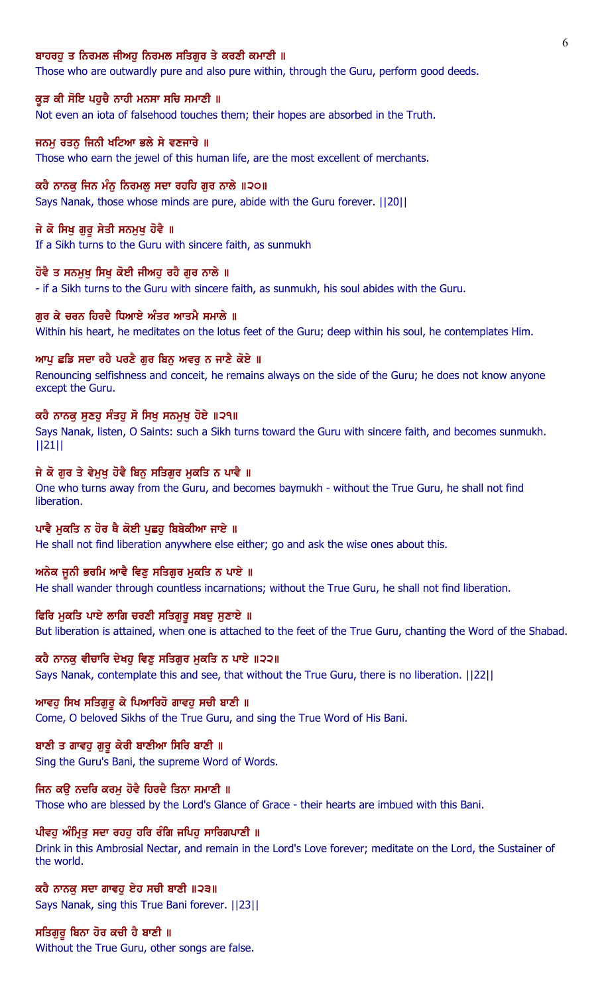## ਬਾਹਰਹ ਤ ਨਿਰਮਲ ਜੀਅਹ ਨਿਰਮਲ ਸਤਿਗਰ ਤੇ ਕਰਣੀ ਕਮਾਣੀ ॥

Those who are outwardly pure and also pure within, through the Guru, perform good deeds.

#### ਕੁੜ ਕੀ ਸੋਇ ਪਹੁਚੈ ਨਾਹੀ ਮਨਸਾ ਸਚਿ ਸਮਾਣੀ ॥

Not even an iota of falsehood touches them; their hopes are absorbed in the Truth.

### ਜਨਮ ਰਤਨ ਜਿਨੀ ਖਟਿਆ ਭਲੇ ਸੇ ਵਣਜਾਰੇ ॥

Those who earn the jewel of this human life, are the most excellent of merchants.

#### ਕਹੈ ਨਾਨਕ ਜਿਨ ਮੰਨ ਨਿਰਮਲ ਸਦਾ ਰਹਹਿ ਗਰ ਨਾਲੇ ॥੨੦॥

Says Nanak, those whose minds are pure, abide with the Guru forever. ||20||

### ਜੇ ਕੋ ਸਿਖੂ ਗੁਰੂ ਸੇਤੀ ਸਨਮੁਖੂ ਹੋਵੈ ॥

If a Sikh turns to the Guru with sincere faith, as sunmukh

# ਹੋਵੈ ਤ ਸਨਮੁਖੂ ਸਿਖੂ ਕੋਈ ਜੀਅਹੂ ਰਹੈ ਗੁਰ ਨਾਲੇ ॥

- if a Sikh turns to the Guru with sincere faith, as sunmukh, his soul abides with the Guru.

#### ਗਰ ਕੇ ਚਰਨ ਹਿਰਦੈ ਧਿਆਏ ਅੰਤਰ ਆਤਮੈ ਸਮਾਲੇ ॥

Within his heart, he meditates on the lotus feet of the Guru; deep within his soul, he contemplates Him.

# ਆਪੂ ਛਡਿ ਸਦਾ ਰਹੈ ਪਰਣੈ ਗੁਰ ਬਿਨੂ ਅਵਰੂ ਨ ਜਾਣੈ ਕੋਏ ॥

Renouncing selfishness and conceit, he remains always on the side of the Guru; he does not know anyone except the Guru.

### ਕਹੈ ਨਾਨਕੂ ਸੁਣਹੂ ਸੰਤਹੂ ਸੋ ਸਿਖੂ ਸਨਮੁਖੂ ਹੋਏ ॥੨੧॥

Says Nanak, listen, O Saints: such a Sikh turns toward the Guru with sincere faith, and becomes sunmukh. ||21||

### ਜੇ ਕੋ ਗੁਰ ਤੇ ਵੇਮੁਖੂ ਹੋਵੈ ਬਿਨੂ ਸਤਿਗੁਰ ਮੁਕਤਿ ਨ ਪਾਵੈ ॥

One who turns away from the Guru, and becomes baymukh - without the True Guru, he shall not find liberation.

### ਪਾਵੈ ਮੁਕਤਿ ਨ ਹੋਰ ਥੈ ਕੋਈ ਪੁਛਹੁ ਬਿਬੇਕੀਆ ਜਾਏ ॥

He shall not find liberation anywhere else either; go and ask the wise ones about this.

#### ਅਨੇਕ ਜੂਨੀ ਭਰਮਿ ਆਵੈ ਵਿਣੂ ਸਤਿਗੁਰ ਮੁਕਤਿ ਨ ਪਾਏ ॥

He shall wander through countless incarnations; without the True Guru, he shall not find liberation.

### ਫਿਰਿ ਮੁਕਤਿ ਪਾਏ ਲਾਗਿ ਚਰਣੀ ਸਤਿਗੁਰੂ ਸਬਦੂ ਸੁਣਾਏ ॥

But liberation is attained, when one is attached to the feet of the True Guru, chanting the Word of the Shabad.

### ਕਹੈ ਨਾਨਕੂ ਵੀਚਾਰਿ ਦੇਖਹੂ ਵਿਣੂ ਸਤਿਗੁਰ ਮੁਕਤਿ ਨ ਪਾਏ ॥੨੨॥

Says Nanak, contemplate this and see, that without the True Guru, there is no liberation. ||22||

#### ਆਵਹੂ ਸਿਖ ਸਤਿਗੁਰੂ ਕੇ ਪਿਆਰਿਹੋ ਗਾਵਹੂ ਸਚੀ ਬਾਣੀ ॥

Come, O beloved Sikhs of the True Guru, and sing the True Word of His Bani.

# ਬਾਣੀ ਤ ਗਾਵਹ ਗਰ ਕੇਰੀ ਬਾਣੀਆ ਸਿਰਿ ਬਾਣੀ ॥

Sing the Guru's Bani, the supreme Word of Words.

# ਜਿਨ ਕਉ ਨਦਰਿ ਕਰਮੂ ਹੋਵੈ ਹਿਰਦੈ ਤਿਨਾ ਸਮਾਣੀ ॥

Those who are blessed by the Lord's Glance of Grace - their hearts are imbued with this Bani.

# ਪੀਵਹੂ ਅੰਮ੍ਰਿਤੂ ਸਦਾ ਰਹਹੂ ਹਰਿ ਰੰਗਿ ਜਪਿਹੂ ਸਾਰਿਗਪਾਣੀ ॥

Drink in this Ambrosial Nectar, and remain in the Lord's Love forever; meditate on the Lord, the Sustainer of the world.

# ਕਹੈ ਨਾਨਕੁ ਸਦਾ ਗਾਵਹੁ ਏਹ ਸਚੀ ਬਾਣੀ ॥੨੩॥ Says Nanak, sing this True Bani forever. ||23||

ਸਤਿਗਰ ਬਿਨਾ ਹੋਰ ਕਚੀ ਹੈ ਬਾਣੀ ॥ Without the True Guru, other songs are false.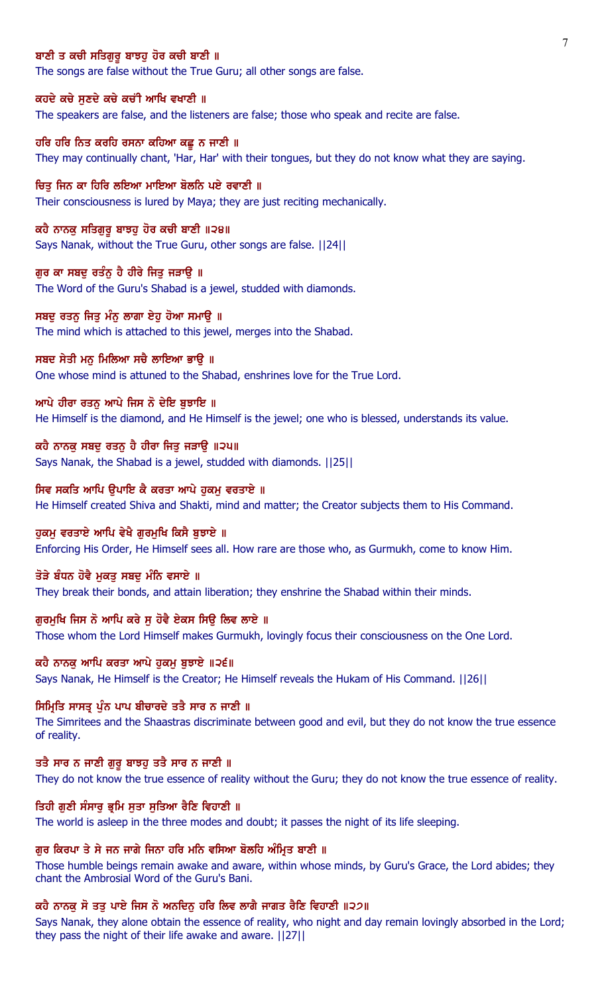### ਬਾਣੀ ਤ ਕਚੀ ਸਤਿਗਰ ਬਾਝਹ ਹੋਰ ਕਚੀ ਬਾਣੀ ॥

The songs are false without the True Guru; all other songs are false.

### ਕਹਦੇ ਕਚੇ ਸੁਣਦੇ ਕਚੇ ਕਚੀ ਆਖਿ ਵਖਾਣੀ ॥

The speakers are false, and the listeners are false; those who speak and recite are false.

# ਹਰਿ ਹਰਿ ਨਿਤ ਕਰਹਿ ਰਸਨਾ ਕਹਿਆ ਕਛੁ ਨ ਜਾਣੀ ॥

They may continually chant, 'Har, Har' with their tongues, but they do not know what they are saying.

#### ਚਿਤ ਜਿਨ ਕਾ ਹਿਰਿ ਲਇਆ ਮਾਇਆ ਬੋਲਨਿ ਪਏ ਰਵਾਣੀ ॥

Their consciousness is lured by Maya; they are just reciting mechanically.

#### ਕਹੈ ਨਾਨਕੁ ਸਤਿਗੁਰੂ ਬਾਝਹੁ ਹੋਰ ਕਚੀ ਬਾਣੀ ॥੨੪॥

Says Nanak, without the True Guru, other songs are false. ||24||

### ਗੁਰ ਕਾ ਸਬਦੁ ਰਤੰਨੂ ਹੈ ਹੀਰੇ ਜਿਤੂ ਜੜਾਉ ॥

The Word of the Guru's Shabad is a jewel, studded with diamonds.

#### ਸਬਦ ਰਤਨ ਜਿਤ ਮੰਨ ਲਾਗਾ ਏਹ ਹੋਆ ਸਮਾੳ ॥

The mind which is attached to this jewel, merges into the Shabad.

### ਸਬਦ ਸੇਤੀ ਮਨੁ ਮਿਲਿਆ ਸਚੈ ਲਾਇਆ ਭਾਉ ॥

One whose mind is attuned to the Shabad, enshrines love for the True Lord.

### ਆਪੇ ਹੀਰਾ ਰਤਨੂ ਆਪੇ ਜਿਸ ਨੋ ਦੇਇ ਬੁਝਾਇ ॥

He Himself is the diamond, and He Himself is the jewel; one who is blessed, understands its value.

# ਕਹੈ ਨਾਨਕੁ ਸਬਦੁ ਰਤਨੁ ਹੈ ਹੀਰਾ ਜਿਤੁ ਜੜਾਉ ॥੨੫॥

Says Nanak, the Shabad is a jewel, studded with diamonds. ||25||

### ਸਿਵ ਸਕਤਿ ਆਪਿ ਉਪਾਇ ਕੈ ਕਰਤਾ ਆਪੇ ਹੁਕਮੂ ਵਰਤਾਏ ॥

He Himself created Shiva and Shakti, mind and matter; the Creator subjects them to His Command.

### ਹੁਕਮੂ ਵਰਤਾਏ ਆਪਿ ਵੇਖੈ ਗੁਰਮੁਖਿ ਕਿਸੈ ਬੁਝਾਏ ॥

Enforcing His Order, He Himself sees all. How rare are those who, as Gurmukh, come to know Him.

#### ਤੋੜੇ ਬੰਧਨ ਹੋਵੈ ਮਕਤ ਸਬਦ ਮੰਨਿ ਵਸਾਏ ॥

They break their bonds, and attain liberation; they enshrine the Shabad within their minds.

#### ਗੁਰਮੁਖਿ ਜਿਸ ਨੋ ਆਪਿ ਕਰੇ ਸੁ ਹੋਵੈ ਏਕਸ ਸਿਉ ਲਿਵ ਲਾਏ ॥

Those whom the Lord Himself makes Gurmukh, lovingly focus their consciousness on the One Lord.

# ਕਹੈ ਨਾਨਕ ਆਪਿ ਕਰਤਾ ਆਪੇ ਹਕਮ ਬਝਾਏ ॥੨੬॥

Says Nanak, He Himself is the Creator; He Himself reveals the Hukam of His Command. ||26||

### ਸਿਮ੍ਰਿਤਿ ਸਾਸਤ੍ਰ ਪੁੰਨ ਪਾਪ ਬੀਚਾਰਦੇ ਤਤੈ ਸਾਰ ਨ ਜਾਣੀ ॥

The Simritees and the Shaastras discriminate between good and evil, but they do not know the true essence of reality.

# ਤਤੈ ਸਾਰ ਨ ਜਾਣੀ ਗੁਰੂ ਬਾਝਹੂ ਤਤੈ ਸਾਰ ਨ ਜਾਣੀ ॥

They do not know the true essence of reality without the Guru; they do not know the true essence of reality.

### ਤਿਹੀ ਗੁਣੀ ਸੰਸਾਰੂ ਭ੍ਰਮਿ ਸੂਤਾ ਸੂਤਿਆ ਰੈਣਿ ਵਿਹਾਣੀ ॥

The world is asleep in the three modes and doubt; it passes the night of its life sleeping.

#### ਗਰ ਕਿਰਪਾ ਤੇ ਸੇ ਜਨ ਜਾਗੇ ਜਿਨਾ ਹਰਿ ਮਨਿ ਵਸਿਆ ਬੋਲਹਿ ਅੰਮਿਤ ਬਾਣੀ ॥

Those humble beings remain awake and aware, within whose minds, by Guru's Grace, the Lord abides; they chant the Ambrosial Word of the Guru's Bani.

# ਕਹੈ ਨਾਨਕੂ ਸੋ ਤਤੂ ਪਾਏ ਜਿਸ ਨੋ ਅਨਦਿਨੂ ਹਰਿ ਲਿਵ ਲਾਗੈ ਜਾਗਤ ਰੈਣਿ ਵਿਹਾਣੀ ॥੨੭॥

Says Nanak, they alone obtain the essence of reality, who night and day remain lovingly absorbed in the Lord; they pass the night of their life awake and aware. ||27||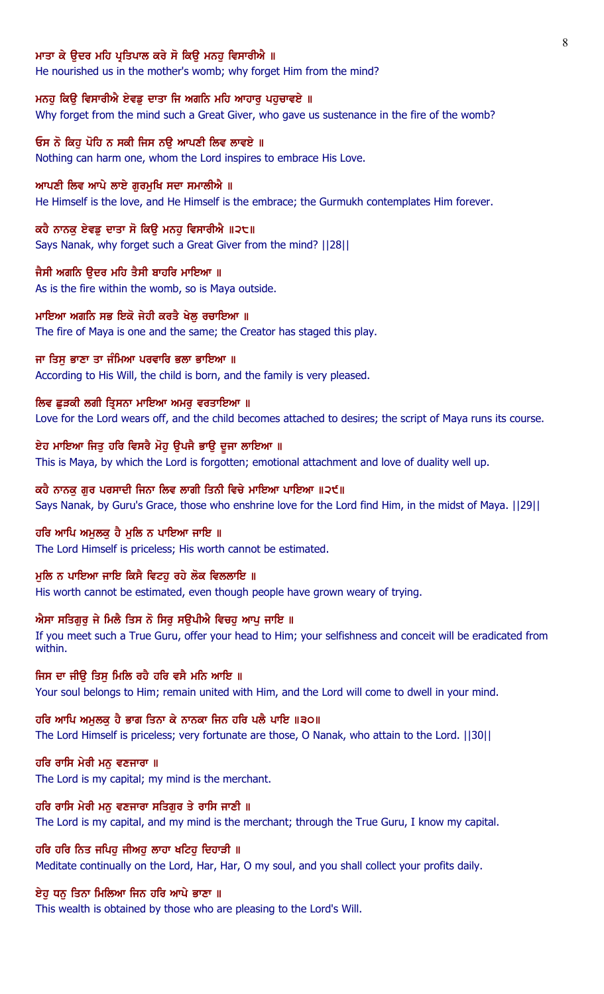### ਮਾਤਾ ਕੇ ੳਦਰ ਮਹਿ ਪੁਤਿਪਾਲ ਕਰੇ ਸੋ ਕਿੳ ਮਨਹ ਵਿਸਾਰੀਐ ॥

He nourished us in the mother's womb; why forget Him from the mind?

### ਮਨਹੂ ਕਿਉ ਵਿਸਾਰੀਐ ਏਵਡੂ ਦਾਤਾ ਜਿ ਅਗਨਿ ਮਹਿ ਆਹਾਰੂ ਪਹੁਚਾਵਏ ॥

Why forget from the mind such a Great Giver, who gave us sustenance in the fire of the womb?

# ਓਸ ਨੋ ਕਿਹ ਪੋਹਿ ਨ ਸਕੀ ਜਿਸ ਨੳ ਆਪਣੀ ਲਿਵ ਲਾਵਏ ॥

Nothing can harm one, whom the Lord inspires to embrace His Love.

#### ਆਪਣੀ ਲਿਵ ਆਪੇ ਲਾਏ ਗਰਮਖਿ ਸਦਾ ਸਮਾਲੀਐ ॥

He Himself is the love, and He Himself is the embrace; the Gurmukh contemplates Him forever.

#### ਕਹੈ ਨਾਨਕੁ ਏਵਡੁ ਦਾਤਾ ਸੋ ਕਿਉ ਮਨਹੁ ਵਿਸਾਰੀਐ ॥੨੮॥

Says Nanak, why forget such a Great Giver from the mind? ||28||

# ਜੈਸੀ ਅਗਨਿ ੳਦਰ ਮਹਿ ਤੈਸੀ ਬਾਹਰਿ ਮਾਇਆ ॥

As is the fire within the womb, so is Maya outside.

#### ਮਾਇਆ ਅਗਨਿ ਸਭ ਇਕੋ ਜੇਹੀ ਕਰਤੈ ਖੇਲ ਰਚਾਇਆ ॥

The fire of Maya is one and the same; the Creator has staged this play.

#### ਜਾ ਤਿਸੁ ਭਾਣਾ ਤਾ ਜੰਮਿਆ ਪਰਵਾਰਿ ਭਲਾ ਭਾਇਆ ॥

According to His Will, the child is born, and the family is very pleased.

### ਲਿਵ ਛੁੜਕੀ ਲਗੀ ਤ੍ਰਿਸਨਾ ਮਾਇਆ ਅਮਰੁ ਵਰਤਾਇਆ ॥

Love for the Lord wears off, and the child becomes attached to desires; the script of Maya runs its course.

### ਏਹ ਮਾਇਆ ਜਿਤੂ ਹਰਿ ਵਿਸਰੈ ਮੋਹੂ ਉਪਜੈ ਭਾਉ ਦੂਜਾ ਲਾਇਆ ॥

This is Maya, by which the Lord is forgotten; emotional attachment and love of duality well up.

#### ਕਹੈ ਨਾਨਕੂ ਗੁਰ ਪਰਸਾਦੀ ਜਿਨਾ ਲਿਵ ਲਾਗੀ ਤਿਨੀ ਵਿਚੇ ਮਾਇਆ ਪਾਇਆ ॥੨੯॥

Says Nanak, by Guru's Grace, those who enshrine love for the Lord find Him, in the midst of Maya. ||29||

### ਹਰਿ ਆਪਿ ਅਮੁਲਕੁ ਹੈ ਮੁਲਿ ਨ ਪਾਇਆ ਜਾਇ ॥

The Lord Himself is priceless; His worth cannot be estimated.

#### ਮਲਿ ਨ ਪਾਇਆ ਜਾਇ ਕਿਸੈ ਵਿਟਹ ਰਹੇ ਲੋਕ ਵਿਲਲਾਇ ॥

His worth cannot be estimated, even though people have grown weary of trying.

#### ਐਸਾ ਸਤਿਗੁਰੂ ਜੇ ਮਿਲੈ ਤਿਸ ਨੋ ਸਿਰੂ ਸਉਪੀਐ ਵਿਚਹੂ ਆਪੂ ਜਾਇ ॥

If you meet such a True Guru, offer your head to Him; your selfishness and conceit will be eradicated from within.

#### ਜਿਸ ਦਾ ਜੀੳ ਤਿਸ ਮਿਲਿ ਰਹੈ ਹਰਿ ਵਸੈ ਮਨਿ ਆਇ ॥

Your soul belongs to Him; remain united with Him, and the Lord will come to dwell in your mind.

### ਹਰਿ ਆਪਿ ਅਮੁਲਕੁ ਹੈ ਭਾਗ ਤਿਨਾ ਕੇ ਨਾਨਕਾ ਜਿਨ ਹਰਿ ਪਲੈ ਪਾਇ ॥੩੦॥

The Lord Himself is priceless; very fortunate are those, O Nanak, who attain to the Lord. ||30||

### ਹਰਿ ਰਾਸਿ ਮੇਰੀ ਮਨ ਵਣਜਾਰਾ ॥

The Lord is my capital; my mind is the merchant.

### ਹਰਿ ਰਾਸਿ ਮੇਰੀ ਮਨੁ ਵਣਜਾਰਾ ਸਤਿਗੁਰ ਤੇ ਰਾਸਿ ਜਾਣੀ ॥

The Lord is my capital, and my mind is the merchant; through the True Guru, I know my capital.

### ਹਰਿ ਹਰਿ ਨਿਤ ਜਪਿਹ ਜੀਅਹ ਲਾਹਾ ਖਟਿਹ ਦਿਹਾੜੀ ॥

Meditate continually on the Lord, Har, Har, O my soul, and you shall collect your profits daily.

# ਏਹੁ ਧਨੁ ਤਿਨਾ ਮਿਲਿਆ ਜਿਨ ਹਰਿ ਆਪੇ ਭਾਣਾ ॥

This wealth is obtained by those who are pleasing to the Lord's Will.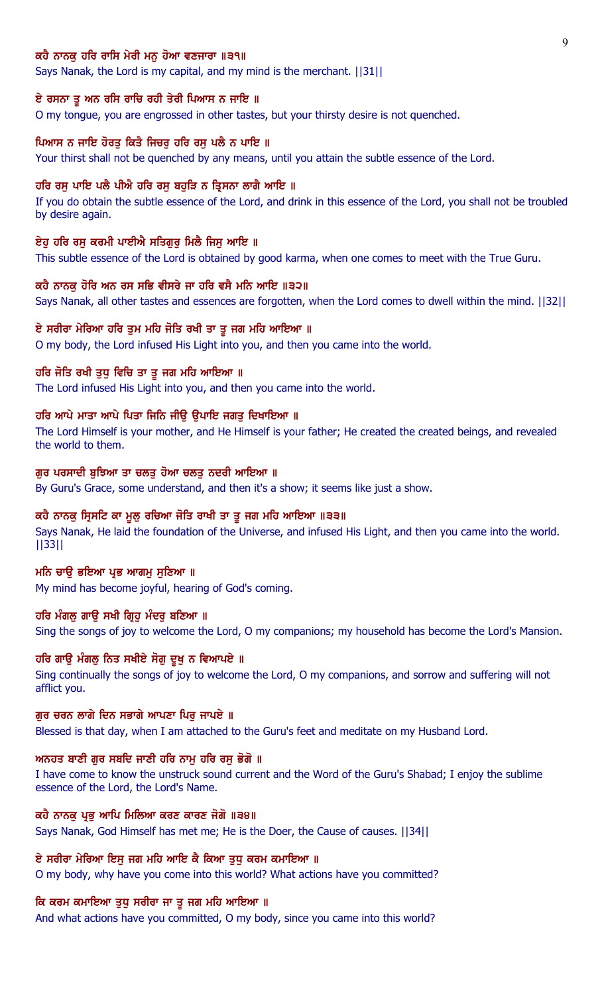# ਕਹੈ ਨਾਨਕ ਹਰਿ ਰਾਸਿ ਮੇਰੀ ਮਨ ਹੋਆ ਵਣਜਾਰਾ ॥੩੧॥

Says Nanak, the Lord is my capital, and my mind is the merchant. ||31||

### ਏ ਰਸਨਾ ਤੂ ਅਨ ਰਸਿ ਰਾਚਿ ਰਹੀ ਤੇਰੀ ਪਿਆਸ ਨ ਜਾਇ ॥

O my tongue, you are engrossed in other tastes, but your thirsty desire is not quenched.

### ਪਿਆਸ ਨ ਜਾਇ ਹੋਰਤ ਕਿਤੈ ਜਿਚਰ ਹਰਿ ਰਸ ਪਲੈ ਨ ਪਾਇ ॥

Your thirst shall not be quenched by any means, until you attain the subtle essence of the Lord.

#### ਹਰਿ ਰਸ ਪਾਇ ਪਲੈ ਪੀਐ ਹਰਿ ਰਸ ਬਹੜਿ ਨ ਤ੍ਰਿਸਨਾ ਲਾਗੈ ਆਇ ॥

If you do obtain the subtle essence of the Lord, and drink in this essence of the Lord, you shall not be troubled by desire again.

### ਏਹ ਹਰਿ ਰਸ ਕਰਮੀ ਪਾਈਐ ਸਤਿਗਰ ਮਿਲੈ ਜਿਸ ਆਇ ॥

This subtle essence of the Lord is obtained by good karma, when one comes to meet with the True Guru.

### ਕਹੈ ਨਾਨਕੂ ਹੋਰਿ ਅਨ ਰਸ ਸਭਿ ਵੀਸਰੇ ਜਾ ਹਰਿ ਵਸੈ ਮਨਿ ਆਇ ॥੩੨॥

Says Nanak, all other tastes and essences are forgotten, when the Lord comes to dwell within the mind. ||32||

### ਏ ਸਰੀਰਾ ਮੇਰਿਆ ਹਰਿ ਤੁਮ ਮਹਿ ਜੋਤਿ ਰਖੀ ਤਾ ਤੁ ਜਗ ਮਹਿ ਆਇਆ ॥

O my body, the Lord infused His Light into you, and then you came into the world.

### ਹਰਿ ਜੋਤਿ ਰਖੀ ਤੁਧੂ ਵਿਚਿ ਤਾ ਤੂ ਜਗ ਮਹਿ ਆਇਆ ॥

The Lord infused His Light into you, and then you came into the world.

# ਹਰਿ ਆਪੇ ਮਾਤਾ ਆਪੇ ਪਿਤਾ ਜਿਨਿ ਜੀਉ ਉਪਾਇ ਜਗਤੁ ਦਿਖਾਇਆ ॥

The Lord Himself is your mother, and He Himself is your father; He created the created beings, and revealed the world to them.

# ਗੁਰ ਪਰਸਾਦੀ ਬੁਝਿਆ ਤਾ ਚਲਤੁ ਹੋਆ ਚਲਤੁ ਨਦਰੀ ਆਇਆ ॥

By Guru's Grace, some understand, and then it's a show; it seems like just a show.

# ਕਹੈ ਨਾਨਕੁ ਸ੍ਰਿਸਟਿ ਕਾ ਮੁਲੁ ਰਚਿਆ ਜੋਤਿ ਰਾਖੀ ਤਾ ਤੁ ਜਗ ਮਹਿ ਆਇਆ ॥੩੩॥

Says Nanak, He laid the foundation of the Universe, and infused His Light, and then you came into the world. ||33||

#### ਮਨਿ ਚਾਉ ਭਇਆ ਪ੍ਰਭ ਆਗਮ ਸੁਣਿਆ ॥

My mind has become joyful, hearing of God's coming.

### ਹਰਿ ਮੰਗਲ ਗਾੳ ਸਖੀ ਗ੍ਰਿਹ ਮੰਦਰ ਬਣਿਆ ॥

Sing the songs of joy to welcome the Lord, O my companions; my household has become the Lord's Mansion.

# ਹਰਿ ਗਾਊ ਮੰਗਲੂ ਨਿਤ ਸਖੀਏ ਸੋਗੂ ਦੁਖੂ ਨ ਵਿਆਪਏ ॥

Sing continually the songs of joy to welcome the Lord, O my companions, and sorrow and suffering will not afflict you.

### ਗਰ ਚਰਨ ਲਾਗੇ ਦਿਨ ਸਭਾਗੇ ਆਪਣਾ ਪਿਰ ਜਾਪਏ ॥

Blessed is that day, when I am attached to the Guru's feet and meditate on my Husband Lord.

#### ਅਨਹਤ ਬਾਣੀ ਗੁਰ ਸਬਦਿ ਜਾਣੀ ਹਰਿ ਨਾਮੂ ਹਰਿ ਰਸੂ ਭੋਗੋ ॥

I have come to know the unstruck sound current and the Word of the Guru's Shabad; I enjoy the sublime essence of the Lord, the Lord's Name.

#### ਕਹੈ ਨਾਨਕ ਪ੍ਰਭ ਆਪਿ ਮਿਲਿਆ ਕਰਣ ਕਾਰਣ ਜੋਗੋ ॥੩੪॥

Says Nanak, God Himself has met me; He is the Doer, the Cause of causes. ||34||

# ਏ ਸਰੀਰਾ ਮੇਰਿਆ ਇਸੂ ਜਗ ਮਹਿ ਆਇ ਕੈ ਕਿਆ ਤੁਧੂ ਕਰਮ ਕਮਾਇਆ ॥

O my body, why have you come into this world? What actions have you committed?

# ਕਿ ਕਰਮ ਕਮਾਇਆ ਤੁਧੁ ਸਰੀਰਾ ਜਾ ਤੁ ਜਗ ਮਹਿ ਆਇਆ ॥

And what actions have you committed, O my body, since you came into this world?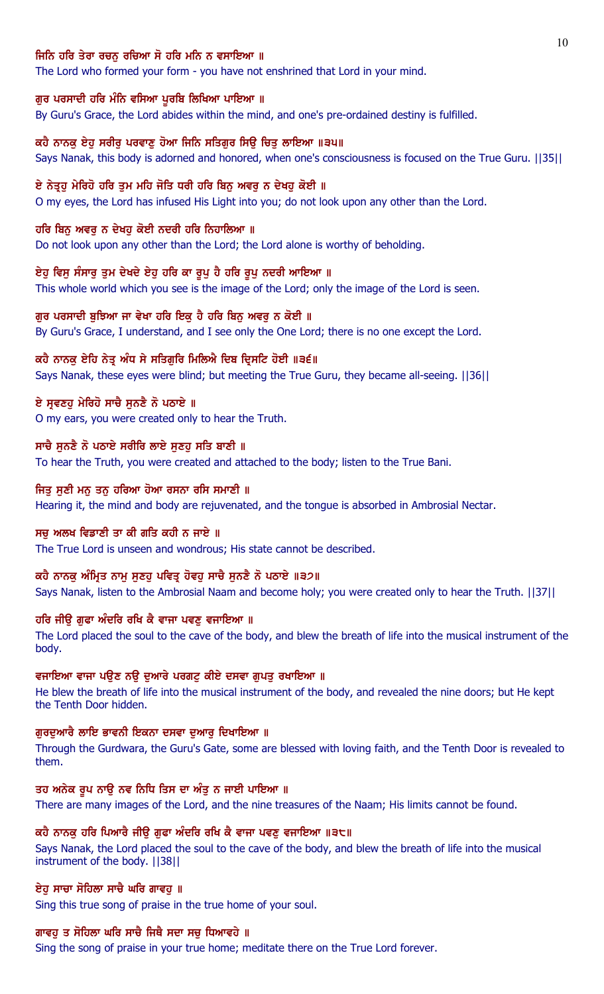# ਜਿਨਿ ਹਰਿ ਤੇਰਾ ਰਚਨ ਰਚਿਆ ਸੋ ਹਰਿ ਮਨਿ ਨ ਵਸਾਇਆ ॥

The Lord who formed your form - you have not enshrined that Lord in your mind.

#### ਗੁਰ ਪਰਸਾਦੀ ਹਰਿ ਮੰਨਿ ਵਸਿਆ ਪੁਰਬਿ ਲਿਖਿਆ ਪਾਇਆ ॥

By Guru's Grace, the Lord abides within the mind, and one's pre-ordained destiny is fulfilled.

# ਕਹੈ ਨਾਨਕ ਏਹ ਸਰੀਰ ਪਰਵਾਣ ਹੋਆ ਜਿਨਿ ਸਤਿਗਰ ਸਿੳ ਚਿਤ ਲਾਇਆ ॥੩੫॥

Says Nanak, this body is adorned and honored, when one's consciousness is focused on the True Guru. ||35||

### ਏ ਨੇਤੁਹ ਮੇਰਿਹੋ ਹਰਿ ਤਮ ਮਹਿ ਜੋਤਿ ਧਰੀ ਹਰਿ ਬਿਨ ਅਵਰ ਨ ਦੇਖਹ ਕੋਈ ॥

O my eyes, the Lord has infused His Light into you; do not look upon any other than the Lord.

#### ਹਰਿ ਬਿਨੂ ਅਵਰੂ ਨ ਦੇਖਹੁ ਕੋਈ ਨਦਰੀ ਹਰਿ ਨਿਹਾਲਿਆ ॥

Do not look upon any other than the Lord; the Lord alone is worthy of beholding.

# ਏਹੁ ਵਿਸੁ ਸੰਸਾਰੂ ਤੁਮ ਦੇਖਦੇ ਏਹੁ ਹਰਿ ਕਾ ਰੂਪੁ ਹੈ ਹਰਿ ਰੂਪੁ ਨਦਰੀ ਆਇਆ ॥

This whole world which you see is the image of the Lord; only the image of the Lord is seen.

### ਗੁਰ ਪਰਸਾਦੀ ਬੁਝਿਆ ਜਾ ਵੇਖਾ ਹਰਿ ਇਕੁ ਹੈ ਹਰਿ ਬਿਨੁ ਅਵਰੁ ਨ ਕੋਈ ॥

By Guru's Grace, I understand, and I see only the One Lord; there is no one except the Lord.

### ਕਹੈ ਨਾਨਕੂ ਏਹਿ ਨੇਤੂ ਅੰਧ ਸੇ ਸਤਿਗੁਰਿ ਮਿਲਿਐ ਦਿਬ ਦ੍ਰਿਸਟਿ ਹੋਈ ॥੩੬॥

Says Nanak, these eyes were blind; but meeting the True Guru, they became all-seeing. ||36||

### ਏ ਸੁਵਣਹੁ ਮੇਰਿਹੋ ਸਾਚੈ ਸੁਨਣੈ ਨੋ ਪਠਾਏ ॥

O my ears, you were created only to hear the Truth.

## ਸਾਚੈ ਸੁਨਣੈ ਨੋ ਪਠਾਏ ਸਰੀਰਿ ਲਾਏ ਸੁਣਹੁ ਸਤਿ ਬਾਣੀ ॥

To hear the Truth, you were created and attached to the body; listen to the True Bani.

### ਜਿਤੂ ਸੂਣੀ ਮਨੂ ਤਨੂ ਹਰਿਆ ਹੋਆ ਰਸਨਾ ਰਸਿ ਸਮਾਣੀ ॥

Hearing it, the mind and body are rejuvenated, and the tongue is absorbed in Ambrosial Nectar.

### ਸਚੂ ਅਲਖ ਵਿਡਾਣੀ ਤਾ ਕੀ ਗਤਿ ਕਹੀ ਨ ਜਾਏ ॥

The True Lord is unseen and wondrous; His state cannot be described.

# ਕਹੈ ਨਾਨਕੂ ਅੰਮ੍ਰਿਤ ਨਾਮੂ ਸੁਣਹੂ ਪਵਿਤ੍ਰ ਹੋਵਹੂ ਸਾਚੈ ਸੁਨਣੈ ਨੋ ਪਠਾਏ ॥੩੭॥

Says Nanak, listen to the Ambrosial Naam and become holy; you were created only to hear the Truth. ||37||

### ਹਰਿ ਜੀਉ ਗੁਫਾ ਅੰਦਰਿ ਰਖਿ ਕੈ ਵਾਜਾ ਪਵਣੁ ਵਜਾਇਆ ॥

The Lord placed the soul to the cave of the body, and blew the breath of life into the musical instrument of the body.

# ਵਜਾਇਆ ਵਾਜਾ ਪਉਣ ਨਉ ਦੁਆਰੇ ਪਰਗਟੂ ਕੀਏ ਦਸਵਾ ਗੁਪਤੂ ਰਖਾਇਆ ॥

He blew the breath of life into the musical instrument of the body, and revealed the nine doors; but He kept the Tenth Door hidden.

### ਗਰਦਆਰੈ ਲਾਇ ਭਾਵਨੀ ਇਕਨਾ ਦਸਵਾ ਦਆਰ ਦਿਖਾਇਆ ॥

Through the Gurdwara, the Guru's Gate, some are blessed with loving faith, and the Tenth Door is revealed to them.

# ਤਹ ਅਨੇਕ ਰੂਪ ਨਾਉ ਨਵ ਨਿਧਿ ਤਿਸ ਦਾ ਅੰਤੂ ਨ ਜਾਈ ਪਾਇਆ ॥

There are many images of the Lord, and the nine treasures of the Naam; His limits cannot be found.

# ਕਹੈ ਨਾਨਕੂ ਹਰਿ ਪਿਆਰੈ ਜੀਉ ਗੂਫਾ ਅੰਦਰਿ ਰਖਿ ਕੈ ਵਾਜਾ ਪਵਣੂ ਵਜਾਇਆ ॥੩੮॥

Says Nanak, the Lord placed the soul to the cave of the body, and blew the breath of life into the musical instrument of the body. ||38||

#### ਏਹੁ ਸਾਚਾ ਸੋਹਿਲਾ ਸਾਚੈ ਘਰਿ ਗਾਵਹੁ ॥

Sing this true song of praise in the true home of your soul.

# ਗਾਵਹ ਤ ਸੋਹਿਲਾ ਘਰਿ ਸਾਚੈ ਜਿਥੈ ਸਦਾ ਸਚ ਧਿਆਵਹੇ ॥

Sing the song of praise in your true home; meditate there on the True Lord forever.